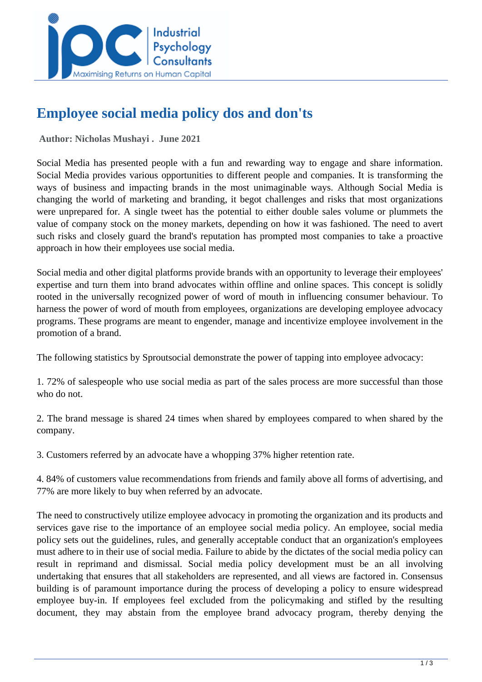

# **Employee social media policy dos and don'ts**

 **Author: Nicholas Mushayi . June 2021** 

Social Media has presented people with a fun and rewarding way to engage and share information. Social Media provides various opportunities to different people and companies. It is transforming the ways of business and impacting brands in the most unimaginable ways. Although Social Media is changing the world of marketing and branding, it begot challenges and risks that most organizations were unprepared for. A single tweet has the potential to either double sales volume or plummets the value of company stock on the money markets, depending on how it was fashioned. The need to avert such risks and closely guard the brand's reputation has prompted most companies to take a proactive approach in how their employees use social media.

Social media and other digital platforms provide brands with an opportunity to leverage their employees' expertise and turn them into brand advocates within offline and online spaces. This concept is solidly rooted in the universally recognized power of word of mouth in influencing consumer behaviour. To harness the power of word of mouth from employees, organizations are developing employee advocacy programs. These programs are meant to engender, manage and incentivize employee involvement in the promotion of a brand.

The following statistics by Sproutsocial demonstrate the power of tapping into employee advocacy:

1. 72% of salespeople who use social media as part of the sales process are more successful than those who do not.

2. The brand message is shared 24 times when shared by employees compared to when shared by the company.

3. Customers referred by an advocate have a whopping 37% higher retention rate.

4. 84% of customers value recommendations from friends and family above all forms of advertising, and 77% are more likely to buy when referred by an advocate.

The need to constructively utilize employee advocacy in promoting the organization and its products and services gave rise to the importance of an employee social media policy. An employee, social media policy sets out the guidelines, rules, and generally acceptable conduct that an organization's employees must adhere to in their use of social media. Failure to abide by the dictates of the social media policy can result in reprimand and dismissal. Social media policy development must be an all involving undertaking that ensures that all stakeholders are represented, and all views are factored in. Consensus building is of paramount importance during the process of developing a policy to ensure widespread employee buy-in. If employees feel excluded from the policymaking and stifled by the resulting document, they may abstain from the employee brand advocacy program, thereby denying the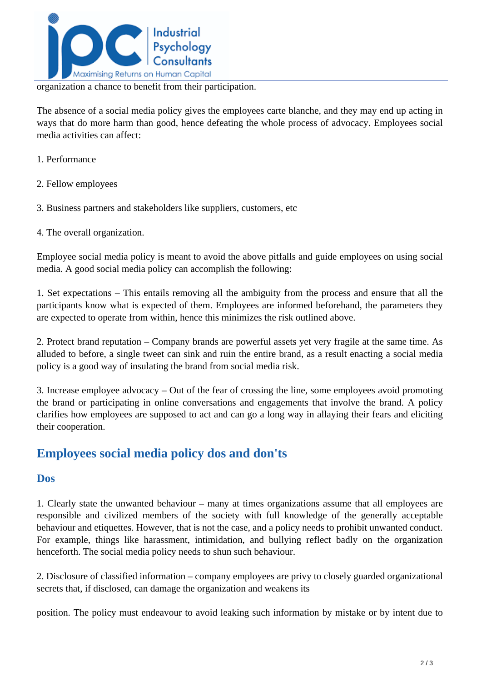

organization a chance to benefit from their participation.

The absence of a social media policy gives the employees carte blanche, and they may end up acting in ways that do more harm than good, hence defeating the whole process of advocacy. Employees social media activities can affect:

- 1. Performance
- 2. Fellow employees
- 3. Business partners and stakeholders like suppliers, customers, etc
- 4. The overall organization.

Employee social media policy is meant to avoid the above pitfalls and guide employees on using social media. A good social media policy can accomplish the following:

1. Set expectations – This entails removing all the ambiguity from the process and ensure that all the participants know what is expected of them. Employees are informed beforehand, the parameters they are expected to operate from within, hence this minimizes the risk outlined above.

2. Protect brand reputation – Company brands are powerful assets yet very fragile at the same time. As alluded to before, a single tweet can sink and ruin the entire brand, as a result enacting a social media policy is a good way of insulating the brand from social media risk.

3. Increase employee advocacy – Out of the fear of crossing the line, some employees avoid promoting the brand or participating in online conversations and engagements that involve the brand. A policy clarifies how employees are supposed to act and can go a long way in allaying their fears and eliciting their cooperation.

## **Employees social media policy dos and don'ts**

#### **Dos**

1. Clearly state the unwanted behaviour – many at times organizations assume that all employees are responsible and civilized members of the society with full knowledge of the generally acceptable behaviour and etiquettes. However, that is not the case, and a policy needs to prohibit unwanted conduct. For example, things like harassment, intimidation, and bullying reflect badly on the organization henceforth. The social media policy needs to shun such behaviour.

2. Disclosure of classified information – company employees are privy to closely guarded organizational secrets that, if disclosed, can damage the organization and weakens its

position. The policy must endeavour to avoid leaking such information by mistake or by intent due to